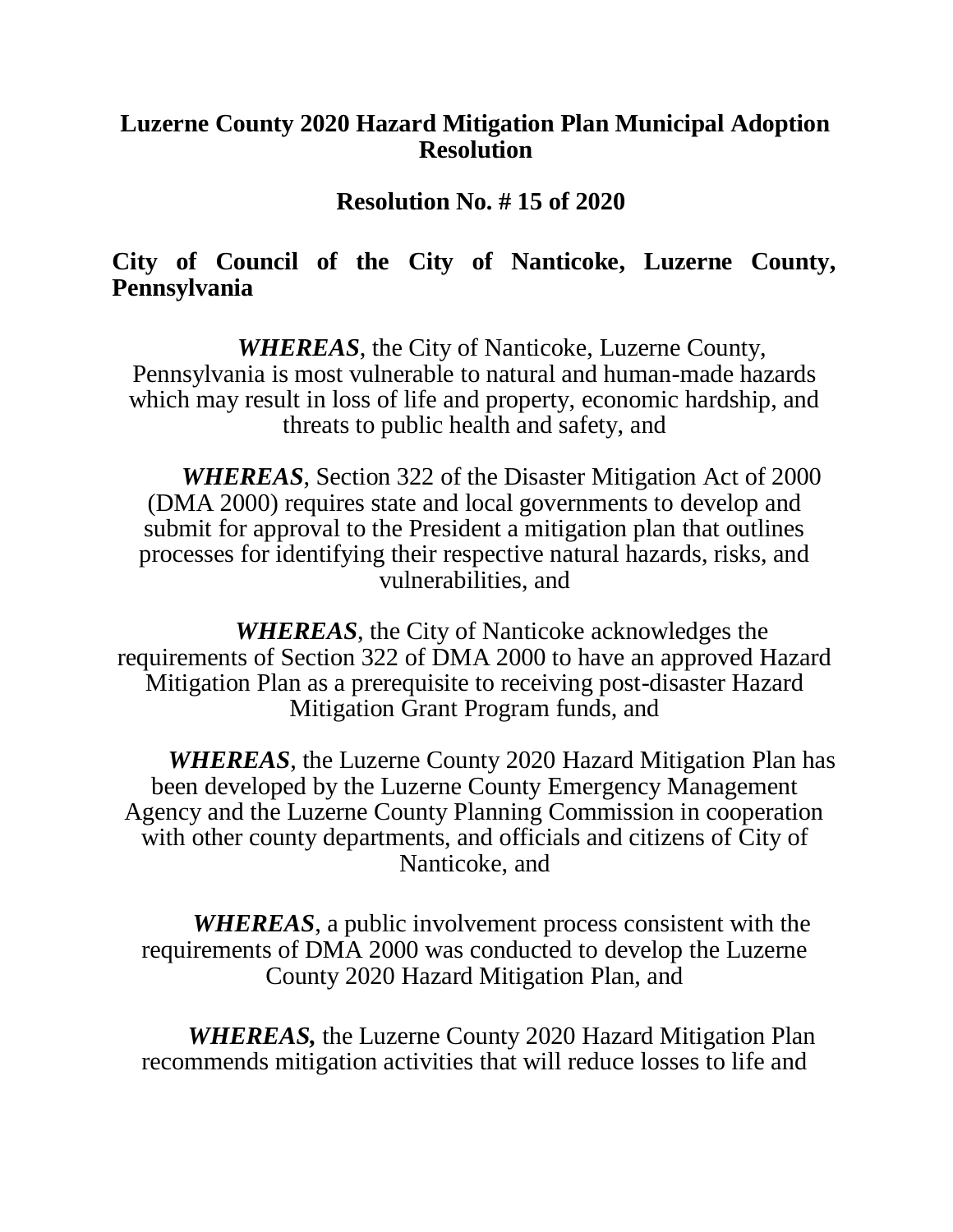## **Luzerne County 2020 Hazard Mitigation Plan Municipal Adoption Resolution**

**Resolution No. # 15 of 2020**

## **City of Council of the City of Nanticoke, Luzerne County, Pennsylvania**

*WHEREAS*, the City of Nanticoke, Luzerne County, Pennsylvania is most vulnerable to natural and human-made hazards which may result in loss of life and property, economic hardship, and threats to public health and safety, and

*WHEREAS*, Section 322 of the Disaster Mitigation Act of 2000 (DMA 2000) requires state and local governments to develop and submit for approval to the President a mitigation plan that outlines processes for identifying their respective natural hazards, risks, and vulnerabilities, and

*WHEREAS*, the City of Nanticoke acknowledges the requirements of Section 322 of DMA 2000 to have an approved Hazard Mitigation Plan as a prerequisite to receiving post-disaster Hazard Mitigation Grant Program funds, and

*WHEREAS*, the Luzerne County 2020 Hazard Mitigation Plan has been developed by the Luzerne County Emergency Management Agency and the Luzerne County Planning Commission in cooperation with other county departments, and officials and citizens of City of Nanticoke, and

*WHEREAS*, a public involvement process consistent with the requirements of DMA 2000 was conducted to develop the Luzerne County 2020 Hazard Mitigation Plan, and

*WHEREAS,* the Luzerne County 2020 Hazard Mitigation Plan recommends mitigation activities that will reduce losses to life and